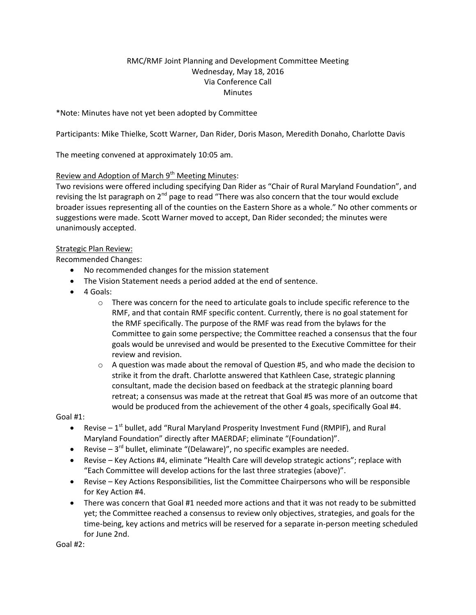# RMC/RMF Joint Planning and Development Committee Meeting Wednesday, May 18, 2016 Via Conference Call **Minutes**

\*Note: Minutes have not yet been adopted by Committee

Participants: Mike Thielke, Scott Warner, Dan Rider, Doris Mason, Meredith Donaho, Charlotte Davis

The meeting convened at approximately 10:05 am.

# Review and Adoption of March 9<sup>th</sup> Meeting Minutes:

Two revisions were offered including specifying Dan Rider as "Chair of Rural Maryland Foundation", and revising the lst paragraph on 2<sup>nd</sup> page to read "There was also concern that the tour would exclude broader issues representing all of the counties on the Eastern Shore as a whole." No other comments or suggestions were made. Scott Warner moved to accept, Dan Rider seconded; the minutes were unanimously accepted.

#### Strategic Plan Review:

Recommended Changes:

- No recommended changes for the mission statement
- The Vision Statement needs a period added at the end of sentence.
- 4 Goals:
	- $\circ$  There was concern for the need to articulate goals to include specific reference to the RMF, and that contain RMF specific content. Currently, there is no goal statement for the RMF specifically. The purpose of the RMF was read from the bylaws for the Committee to gain some perspective; the Committee reached a consensus that the four goals would be unrevised and would be presented to the Executive Committee for their review and revision.
	- $\circ$  A question was made about the removal of Question #5, and who made the decision to strike it from the draft. Charlotte answered that Kathleen Case, strategic planning consultant, made the decision based on feedback at the strategic planning board retreat; a consensus was made at the retreat that Goal #5 was more of an outcome that would be produced from the achievement of the other 4 goals, specifically Goal #4.

Goal #1:

- Revise  $-1^{st}$  bullet, add "Rural Maryland Prosperity Investment Fund (RMPIF), and Rural Maryland Foundation" directly after MAERDAF; eliminate "(Foundation)".
- **•** Revise  $-3^{rd}$  bullet, eliminate "(Delaware)", no specific examples are needed.
- Revise Key Actions #4, eliminate "Health Care will develop strategic actions"; replace with "Each Committee will develop actions for the last three strategies (above)".
- Revise Key Actions Responsibilities, list the Committee Chairpersons who will be responsible for Key Action #4.
- There was concern that Goal #1 needed more actions and that it was not ready to be submitted yet; the Committee reached a consensus to review only objectives, strategies, and goals for the time-being, key actions and metrics will be reserved for a separate in-person meeting scheduled for June 2nd.

Goal #2: